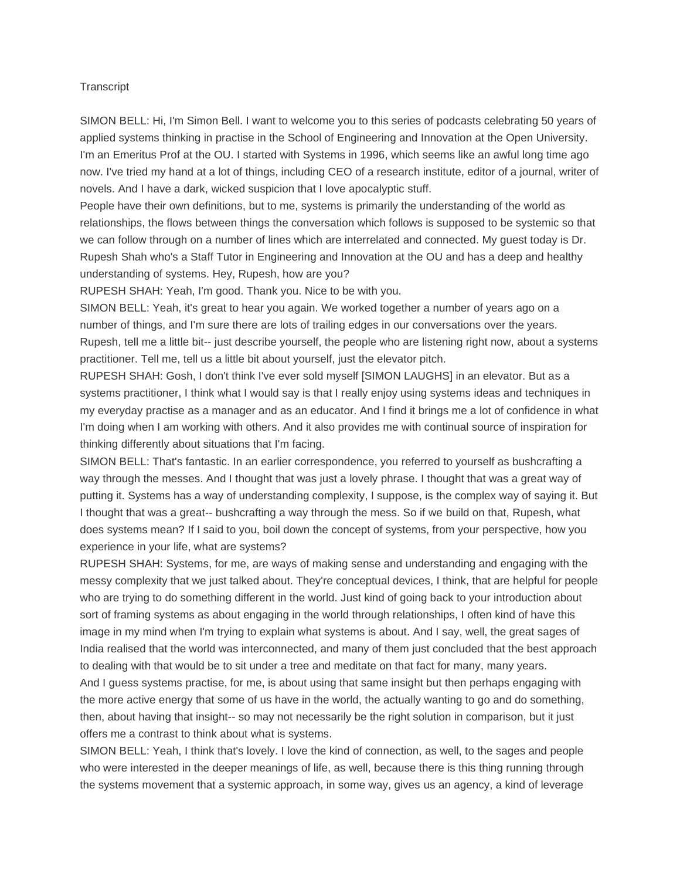## **Transcript**

SIMON BELL: Hi, I'm Simon Bell. I want to welcome you to this series of podcasts celebrating 50 years of applied systems thinking in practise in the School of Engineering and Innovation at the Open University. I'm an Emeritus Prof at the OU. I started with Systems in 1996, which seems like an awful long time ago now. I've tried my hand at a lot of things, including CEO of a research institute, editor of a journal, writer of novels. And I have a dark, wicked suspicion that I love apocalyptic stuff.

People have their own definitions, but to me, systems is primarily the understanding of the world as relationships, the flows between things the conversation which follows is supposed to be systemic so that we can follow through on a number of lines which are interrelated and connected. My guest today is Dr. Rupesh Shah who's a Staff Tutor in Engineering and Innovation at the OU and has a deep and healthy understanding of systems. Hey, Rupesh, how are you?

RUPESH SHAH: Yeah, I'm good. Thank you. Nice to be with you.

SIMON BELL: Yeah, it's great to hear you again. We worked together a number of years ago on a number of things, and I'm sure there are lots of trailing edges in our conversations over the years. Rupesh, tell me a little bit-- just describe yourself, the people who are listening right now, about a systems practitioner. Tell me, tell us a little bit about yourself, just the elevator pitch.

RUPESH SHAH: Gosh, I don't think I've ever sold myself [SIMON LAUGHS] in an elevator. But as a systems practitioner, I think what I would say is that I really enjoy using systems ideas and techniques in my everyday practise as a manager and as an educator. And I find it brings me a lot of confidence in what I'm doing when I am working with others. And it also provides me with continual source of inspiration for thinking differently about situations that I'm facing.

SIMON BELL: That's fantastic. In an earlier correspondence, you referred to yourself as bushcrafting a way through the messes. And I thought that was just a lovely phrase. I thought that was a great way of putting it. Systems has a way of understanding complexity, I suppose, is the complex way of saying it. But I thought that was a great-- bushcrafting a way through the mess. So if we build on that, Rupesh, what does systems mean? If I said to you, boil down the concept of systems, from your perspective, how you experience in your life, what are systems?

RUPESH SHAH: Systems, for me, are ways of making sense and understanding and engaging with the messy complexity that we just talked about. They're conceptual devices, I think, that are helpful for people who are trying to do something different in the world. Just kind of going back to your introduction about sort of framing systems as about engaging in the world through relationships, I often kind of have this image in my mind when I'm trying to explain what systems is about. And I say, well, the great sages of India realised that the world was interconnected, and many of them just concluded that the best approach to dealing with that would be to sit under a tree and meditate on that fact for many, many years. And I guess systems practise, for me, is about using that same insight but then perhaps engaging with the more active energy that some of us have in the world, the actually wanting to go and do something, then, about having that insight-- so may not necessarily be the right solution in comparison, but it just offers me a contrast to think about what is systems.

SIMON BELL: Yeah, I think that's lovely. I love the kind of connection, as well, to the sages and people who were interested in the deeper meanings of life, as well, because there is this thing running through the systems movement that a systemic approach, in some way, gives us an agency, a kind of leverage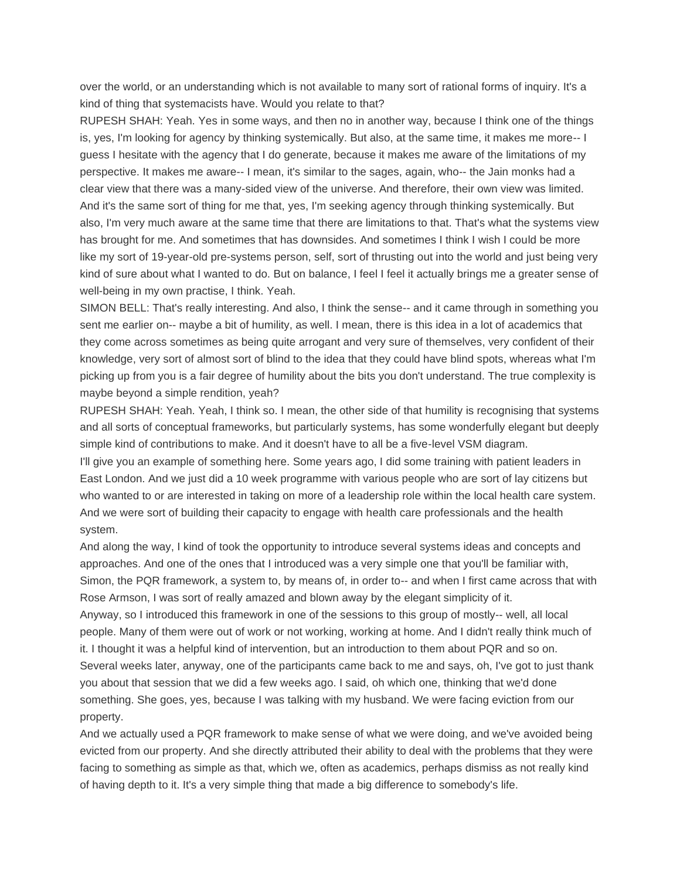over the world, or an understanding which is not available to many sort of rational forms of inquiry. It's a kind of thing that systemacists have. Would you relate to that?

RUPESH SHAH: Yeah. Yes in some ways, and then no in another way, because I think one of the things is, yes, I'm looking for agency by thinking systemically. But also, at the same time, it makes me more-- I guess I hesitate with the agency that I do generate, because it makes me aware of the limitations of my perspective. It makes me aware-- I mean, it's similar to the sages, again, who-- the Jain monks had a clear view that there was a many-sided view of the universe. And therefore, their own view was limited. And it's the same sort of thing for me that, yes, I'm seeking agency through thinking systemically. But also, I'm very much aware at the same time that there are limitations to that. That's what the systems view has brought for me. And sometimes that has downsides. And sometimes I think I wish I could be more like my sort of 19-year-old pre-systems person, self, sort of thrusting out into the world and just being very kind of sure about what I wanted to do. But on balance, I feel I feel it actually brings me a greater sense of well-being in my own practise, I think. Yeah.

SIMON BELL: That's really interesting. And also, I think the sense-- and it came through in something you sent me earlier on-- maybe a bit of humility, as well. I mean, there is this idea in a lot of academics that they come across sometimes as being quite arrogant and very sure of themselves, very confident of their knowledge, very sort of almost sort of blind to the idea that they could have blind spots, whereas what I'm picking up from you is a fair degree of humility about the bits you don't understand. The true complexity is maybe beyond a simple rendition, yeah?

RUPESH SHAH: Yeah. Yeah, I think so. I mean, the other side of that humility is recognising that systems and all sorts of conceptual frameworks, but particularly systems, has some wonderfully elegant but deeply simple kind of contributions to make. And it doesn't have to all be a five-level VSM diagram. I'll give you an example of something here. Some years ago, I did some training with patient leaders in East London. And we just did a 10 week programme with various people who are sort of lay citizens but who wanted to or are interested in taking on more of a leadership role within the local health care system. And we were sort of building their capacity to engage with health care professionals and the health system.

And along the way, I kind of took the opportunity to introduce several systems ideas and concepts and approaches. And one of the ones that I introduced was a very simple one that you'll be familiar with, Simon, the PQR framework, a system to, by means of, in order to-- and when I first came across that with Rose Armson, I was sort of really amazed and blown away by the elegant simplicity of it.

Anyway, so I introduced this framework in one of the sessions to this group of mostly-- well, all local people. Many of them were out of work or not working, working at home. And I didn't really think much of it. I thought it was a helpful kind of intervention, but an introduction to them about PQR and so on. Several weeks later, anyway, one of the participants came back to me and says, oh, I've got to just thank you about that session that we did a few weeks ago. I said, oh which one, thinking that we'd done something. She goes, yes, because I was talking with my husband. We were facing eviction from our

property.

And we actually used a PQR framework to make sense of what we were doing, and we've avoided being evicted from our property. And she directly attributed their ability to deal with the problems that they were facing to something as simple as that, which we, often as academics, perhaps dismiss as not really kind of having depth to it. It's a very simple thing that made a big difference to somebody's life.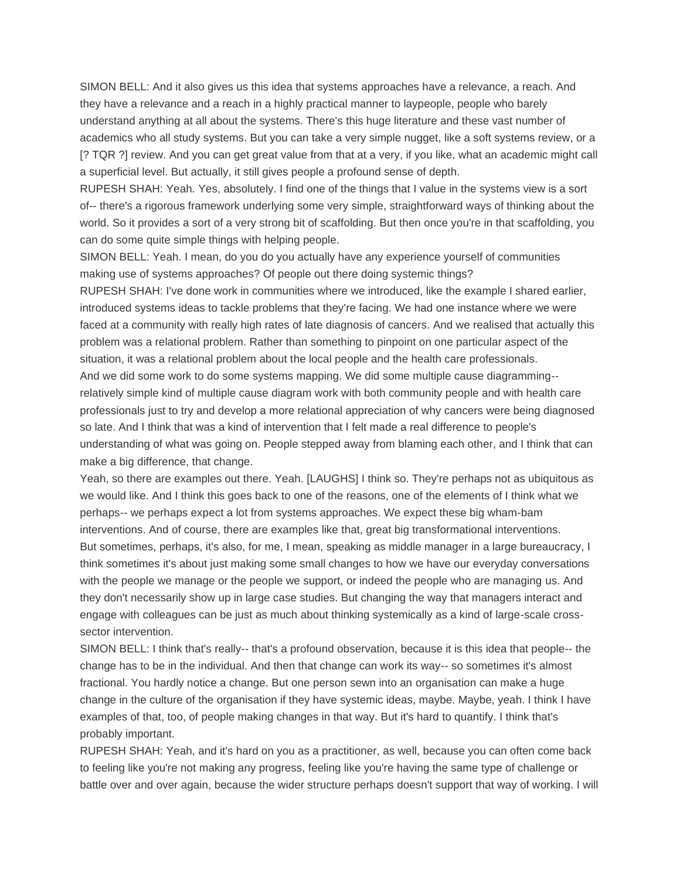SIMON BELL: And it also gives us this idea that systems approaches have a relevance, a reach. And they have a relevance and a reach in a highly practical manner to laypeople, people who barely understand anything at all about the systems. There's this huge literature and these vast number of academics who all study systems. But you can take a very simple nugget, like a soft systems review, or a [? TQR ?] review. And you can get great value from that at a very, if you like, what an academic might call a superficial level. But actually, it still gives people a profound sense of depth.

RUPESH SHAH: Yeah. Yes, absolutely. I find one of the things that I value in the systems view is a sort of-- there's a rigorous framework underlying some very simple, straightforward ways of thinking about the world. So it provides a sort of a very strong bit of scaffolding. But then once you're in that scaffolding, you can do some quite simple things with helping people.

SIMON BELL: Yeah. I mean, do you do you actually have any experience yourself of communities making use of systems approaches? Of people out there doing systemic things?

RUPESH SHAH: I've done work in communities where we introduced, like the example I shared earlier, introduced systems ideas to tackle problems that they're facing. We had one instance where we were faced at a community with really high rates of late diagnosis of cancers. And we realised that actually this problem was a relational problem. Rather than something to pinpoint on one particular aspect of the situation, it was a relational problem about the local people and the health care professionals. And we did some work to do some systems mapping. We did some multiple cause diagramming- relatively simple kind of multiple cause diagram work with both community people and with health care professionals just to try and develop a more relational appreciation of why cancers were being diagnosed so late. And I think that was a kind of intervention that I felt made a real difference to people's understanding of what was going on. People stepped away from blaming each other, and I think that can make a big difference, that change.

Yeah, so there are examples out there. Yeah. [LAUGHS] I think so. They're perhaps not as ubiquitous as we would like. And I think this goes back to one of the reasons, one of the elements of I think what we perhaps-- we perhaps expect a lot from systems approaches. We expect these big wham-bam interventions. And of course, there are examples like that, great big transformational interventions. But sometimes, perhaps, it's also, for me, I mean, speaking as middle manager in a large bureaucracy, I think sometimes it's about just making some small changes to how we have our everyday conversations with the people we manage or the people we support, or indeed the people who are managing us. And they don't necessarily show up in large case studies. But changing the way that managers interact and engage with colleagues can be just as much about thinking systemically as a kind of large-scale crosssector intervention.

SIMON BELL: I think that's really-- that's a profound observation, because it is this idea that people-- the change has to be in the individual. And then that change can work its way-- so sometimes it's almost fractional. You hardly notice a change. But one person sewn into an organisation can make a huge change in the culture of the organisation if they have systemic ideas, maybe. Maybe, yeah. I think I have examples of that, too, of people making changes in that way. But it's hard to quantify. I think that's probably important.

RUPESH SHAH: Yeah, and it's hard on you as a practitioner, as well, because you can often come back to feeling like you're not making any progress, feeling like you're having the same type of challenge or battle over and over again, because the wider structure perhaps doesn't support that way of working. I will